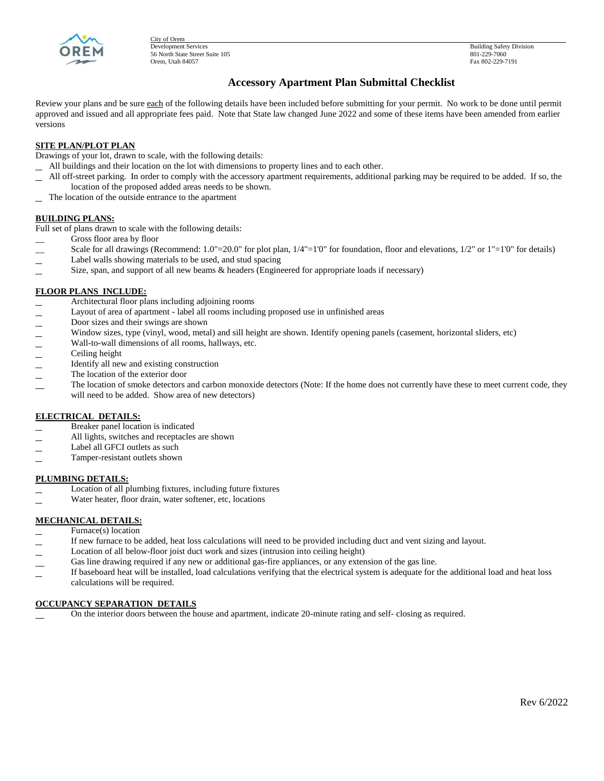

City of Orem<br>Development Services 56 North State Street Suite 105 Orem, Utah 84057 Fax 802-229-7191

Building Safety Division<br>801-229-7060

# **Accessory Apartment Plan Submittal Checklist**

Review your plans and be sure each of the following details have been included before submitting for your permit. No work to be done until permit approved and issued and all appropriate fees paid. Note that State law changed June 2022 and some of these items have been amended from earlier versions

## **SITE PLAN/PLOT PLAN**

Drawings of your lot, drawn to scale, with the following details:

- All buildings and their location on the lot with dimensions to property lines and to each other.
- All off-street parking. In order to comply with the accessory apartment requirements, additional parking may be required to be added. If so, the location of the proposed added areas needs to be shown.
- The location of the outside entrance to the apartment

#### **BUILDING PLANS:**

Full set of plans drawn to scale with the following details:

- Gross floor area by floor
- Scale for all drawings (Recommend:  $1.0"=20.0"$  for plot plan,  $1/4"=1'0"$  for foundation, floor and elevations,  $1/2"$  or  $1"=1'0"$  for details)
- Label walls showing materials to be used, and stud spacing
- Size, span, and support of all new beams & headers (Engineered for appropriate loads if necessary)

#### **FLOOR PLANS INCLUDE:**

- Architectural floor plans including adjoining rooms
- Layout of area of apartment label all rooms including proposed use in unfinished areas
- Door sizes and their swings are shown
- Window sizes, type (vinyl, wood, metal) and sill height are shown. Identify opening panels (casement, horizontal sliders, etc)
- Wall-to-wall dimensions of all rooms, hallways, etc.
- Ceiling height
- Identify all new and existing construction
- The location of the exterior door
- The location of smoke detectors and carbon monoxide detectors (Note: If the home does not currently have these to meet current code, they will need to be added. Show area of new detectors)

#### **ELECTRICAL DETAILS:**

- Breaker panel location is indicated
- All lights, switches and receptacles are shown
- Label all GFCI outlets as such
- Tamper-resistant outlets shown

#### **PLUMBING DETAILS:**

- Location of all plumbing fixtures, including future fixtures
- Water heater, floor drain, water softener, etc, locations

## **MECHANICAL DETAILS:**

- Furnace(s) location
- If new furnace to be added, heat loss calculations will need to be provided including duct and vent sizing and layout.
- Location of all below-floor joist duct work and sizes (intrusion into ceiling height)
- Gas line drawing required if any new or additional gas-fire appliances, or any extension of the gas line.
- If baseboard heat will be installed, load calculations verifying that the electrical system is adequate for the additional load and heat loss calculations will be required.

### **OCCUPANCY SEPARATION DETAILS**

On the interior doors between the house and apartment, indicate 20-minute rating and self- closing as required.